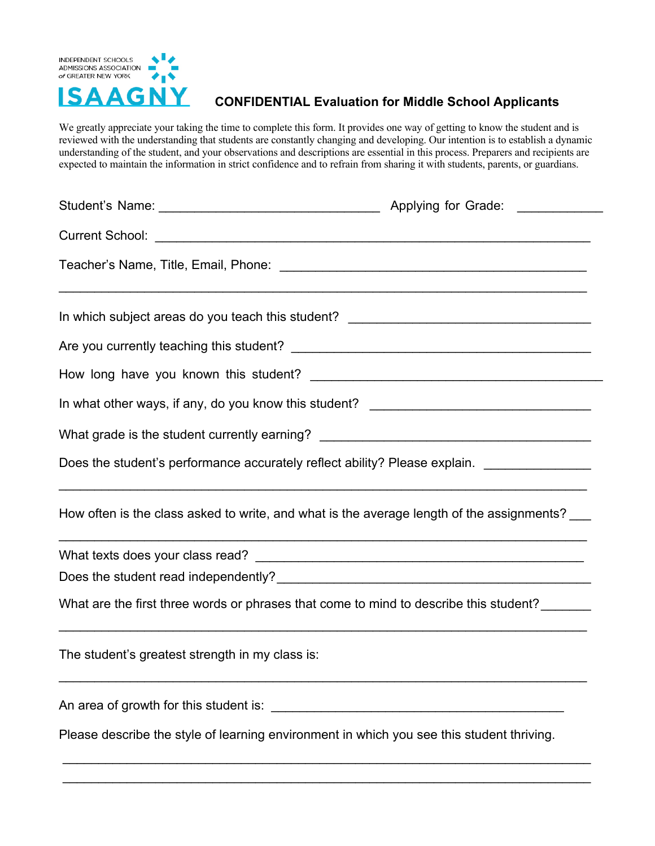

## **CONFIDENTIAL Evaluation for Middle School Applicants**

We greatly appreciate your taking the time to complete this form. It provides one way of getting to know the student and is reviewed with the understanding that students are constantly changing and developing. Our intention is to establish a dynamic understanding of the student, and your observations and descriptions are essential in this process. Preparers and recipients are expected to maintain the information in strict confidence and to refrain from sharing it with students, parents, or guardians.

| In which subject areas do you teach this student? _______________________________            |  |  |  |  |  |
|----------------------------------------------------------------------------------------------|--|--|--|--|--|
|                                                                                              |  |  |  |  |  |
|                                                                                              |  |  |  |  |  |
| In what other ways, if any, do you know this student? ___________________________            |  |  |  |  |  |
| What grade is the student currently earning? ___________________________________             |  |  |  |  |  |
| Does the student's performance accurately reflect ability? Please explain. _________________ |  |  |  |  |  |
| How often is the class asked to write, and what is the average length of the assignments?    |  |  |  |  |  |
|                                                                                              |  |  |  |  |  |
|                                                                                              |  |  |  |  |  |
| What are the first three words or phrases that come to mind to describe this student?        |  |  |  |  |  |
| The student's greatest strength in my class is:                                              |  |  |  |  |  |
|                                                                                              |  |  |  |  |  |
| Please describe the style of learning environment in which you see this student thriving.    |  |  |  |  |  |

\_\_\_\_\_\_\_\_\_\_\_\_\_\_\_\_\_\_\_\_\_\_\_\_\_\_\_\_\_\_\_\_\_\_\_\_\_\_\_\_\_\_\_\_\_\_\_\_\_\_\_\_\_\_\_\_\_\_\_\_\_\_\_\_\_\_\_\_\_\_\_\_\_\_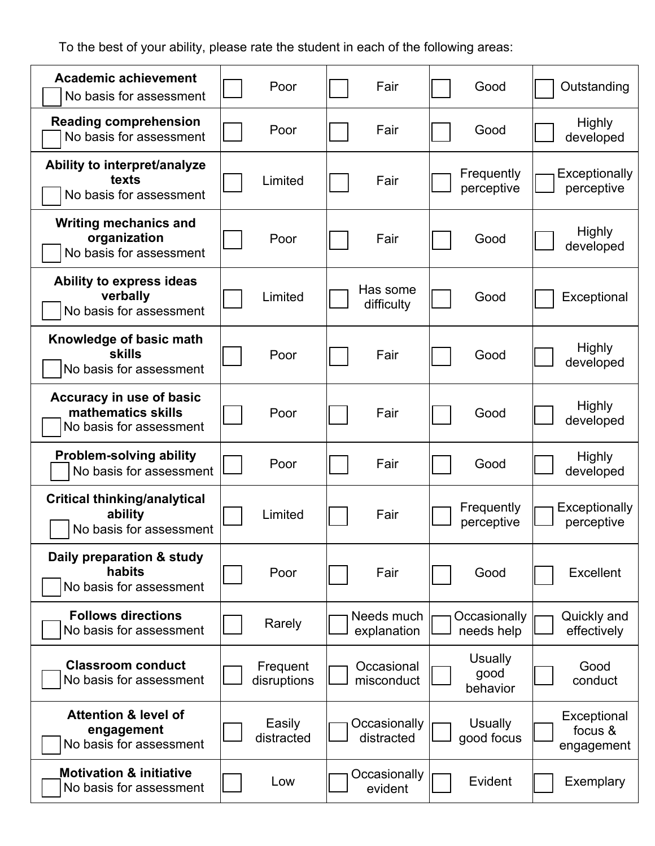To the best of your ability, please rate the student in each of the following areas:

| <b>Academic achievement</b><br>No basis for assessment                    | Poor                    | Fair                       | Good                               | Outstanding                          |
|---------------------------------------------------------------------------|-------------------------|----------------------------|------------------------------------|--------------------------------------|
| <b>Reading comprehension</b><br>No basis for assessment                   | Poor                    | Fair                       | Good                               | <b>Highly</b><br>developed           |
| Ability to interpret/analyze<br>texts<br>No basis for assessment          | Limited                 | Fair                       | Frequently<br>perceptive           | Exceptionally<br>perceptive          |
| <b>Writing mechanics and</b><br>organization<br>No basis for assessment   | Poor                    | Fair                       | Good                               | Highly<br>developed                  |
| Ability to express ideas<br>verbally<br>No basis for assessment           | Limited                 | Has some<br>difficulty     | Good                               | Exceptional                          |
| Knowledge of basic math<br><b>skills</b><br>No basis for assessment       | Poor                    | Fair                       | Good                               | <b>Highly</b><br>developed           |
| Accuracy in use of basic<br>mathematics skills<br>No basis for assessment | Poor                    | Fair                       | Good                               | <b>Highly</b><br>developed           |
| <b>Problem-solving ability</b><br>No basis for assessment                 | Poor                    | Fair                       | Good                               | <b>Highly</b><br>developed           |
| <b>Critical thinking/analytical</b><br>ability<br>No basis for assessment | Limited                 | Fair                       | Frequently<br>perceptive           | Exceptionally<br>perceptive          |
| Daily preparation & study<br>habits<br>No basis for assessment            | Poor                    | Fair                       | Good                               | <b>Excellent</b>                     |
| <b>Follows directions</b><br>No basis for assessment                      | Rarely                  | Needs much<br>explanation  | Occasionally<br>needs help         | Quickly and<br>effectively           |
| <b>Classroom conduct</b><br>No basis for assessment                       | Frequent<br>disruptions | Occasional<br>misconduct   | <b>Usually</b><br>good<br>behavior | Good<br>conduct                      |
| <b>Attention &amp; level of</b><br>engagement<br>No basis for assessment  | Easily<br>distracted    | Occasionally<br>distracted | Usually<br>good focus              | Exceptional<br>focus &<br>engagement |
| <b>Motivation &amp; initiative</b><br>No basis for assessment             | Low                     | Occasionally<br>evident    | Evident                            | Exemplary                            |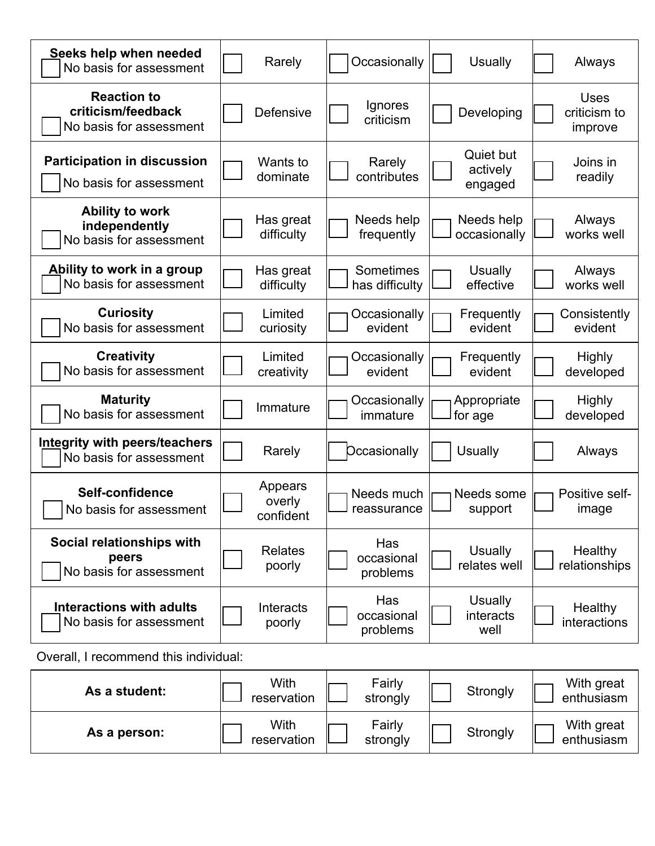| Seeks help when needed<br>No basis for assessment                   | Rarely                         | Occasionally                  | <b>Usually</b>                      | Always                                 |
|---------------------------------------------------------------------|--------------------------------|-------------------------------|-------------------------------------|----------------------------------------|
| <b>Reaction to</b><br>criticism/feedback<br>No basis for assessment | Defensive                      | Ignores<br>criticism          | Developing                          | <b>Uses</b><br>criticism to<br>improve |
| <b>Participation in discussion</b><br>No basis for assessment       | Wants to<br>dominate           | Rarely<br>contributes         | Quiet but<br>actively<br>engaged    | Joins in<br>readily                    |
| <b>Ability to work</b><br>independently<br>No basis for assessment  | Has great<br>difficulty        | Needs help<br>frequently      | Needs help<br>occasionally          | Always<br>works well                   |
| Ability to work in a group<br>No basis for assessment               | Has great<br>difficulty        | Sometimes<br>has difficulty   | <b>Usually</b><br>effective         | Always<br>works well                   |
| <b>Curiosity</b><br>No basis for assessment                         | Limited<br>curiosity           | Occasionally<br>evident       | Frequently<br>evident               | Consistently<br>evident                |
| <b>Creativity</b><br>No basis for assessment                        | Limited<br>creativity          | Occasionally<br>evident       | Frequently<br>evident               | <b>Highly</b><br>developed             |
| <b>Maturity</b><br>No basis for assessment                          | Immature                       | Occasionally<br>immature      | Appropriate<br>for age              | <b>Highly</b><br>developed             |
| Integrity with peers/teachers<br>No basis for assessment            | Rarely                         | <b>Dccasionally</b>           | <b>Usually</b>                      | Always                                 |
| Self-confidence<br>No basis for assessment                          | Appears<br>overly<br>confident | Needs much<br>reassurance     | Needs some<br>support               | Positive self-<br>image                |
| Social relationships with<br>peers<br>No basis for assessment       | <b>Relates</b><br>poorly       | Has<br>occasional<br>problems | <b>Usually</b><br>relates well      | Healthy<br>relationships               |
| <b>Interactions with adults</b><br>No basis for assessment          | Interacts<br>poorly            | Has<br>occasional<br>problems | <b>Usually</b><br>interacts<br>well | Healthy<br>interactions                |
| Overall, I recommend this individual:                               |                                |                               |                                     |                                        |

| As a student: | With<br>reservation | Fairly<br>strongly | Strongly | With great<br>enthusiasm |
|---------------|---------------------|--------------------|----------|--------------------------|
| As a person:  | With<br>reservation | Fairly<br>strongly | Strongly | With great<br>enthusiasm |